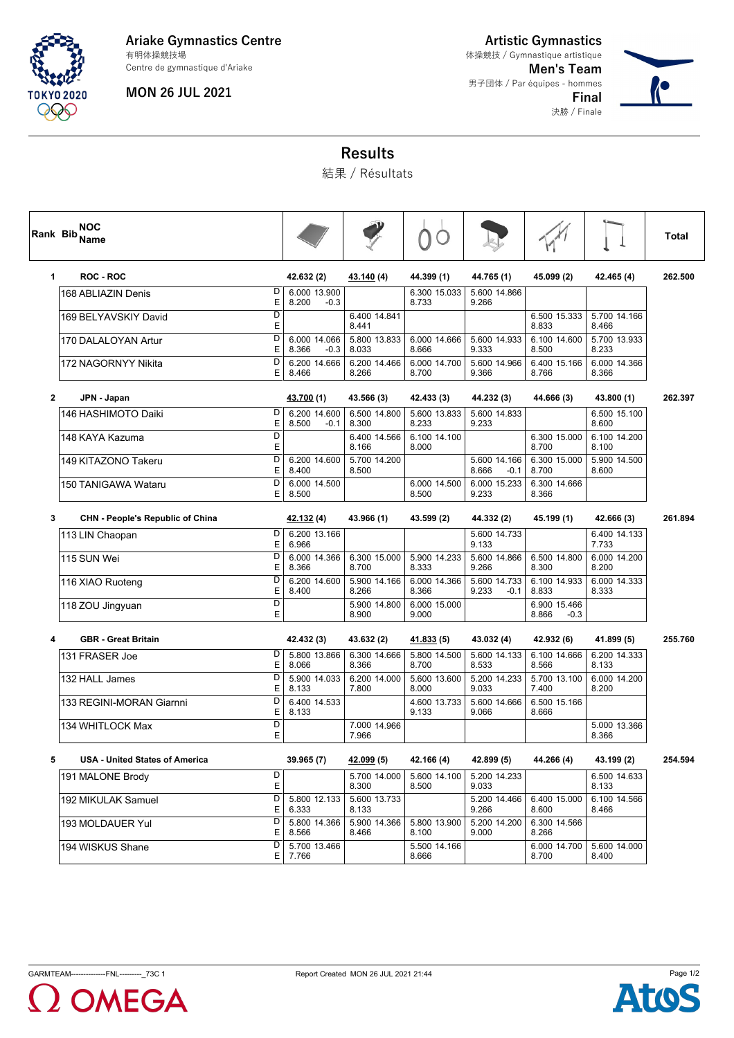

#### **Ariake Gymnastics Centre** 有明体操競技場

Centre de gymnastique d'Ariake

### **MON 26 JUL 2021**

**Artistic Gymnastics Men's Team** 男子団体 / Par équipes - hommes 体操競技 / Gymnastique artistique

> **Final** 決勝 / Finale



## **Results**

結果 / Résultats

| Rank Bib     | <b>NOC</b><br>Name                    |                              |                                 |                       |                       |                                 |                                 |                       | Total   |
|--------------|---------------------------------------|------------------------------|---------------------------------|-----------------------|-----------------------|---------------------------------|---------------------------------|-----------------------|---------|
| 1            | <b>ROC - ROC</b>                      |                              | 42.632 (2)                      | 43.140 (4)            | 44.399 (1)            | 44.765 (1)                      | 45.099 (2)                      | 42.465 (4)            | 262.500 |
|              | 168 ABLIAZIN Denis                    | D<br>E                       | 6.000 13.900<br>8.200<br>$-0.3$ |                       | 6.300 15.033<br>8.733 | 5.600 14.866<br>9.266           |                                 |                       |         |
|              | 169 BELYAVSKIY David                  | $\overline{D}$<br>E          |                                 | 6.400 14.841<br>8.441 |                       |                                 | 6.500 15.333<br>8.833           | 5.700 14.166<br>8.466 |         |
|              | 170 DALALOYAN Artur                   | D<br>Е                       | 6.000 14.066<br>8.366<br>$-0.3$ | 5.800 13.833<br>8.033 | 6.000 14.666<br>8.666 | 5.600 14.933<br>9.333           | 6.100 14.600<br>8.500           | 5.700 13.933<br>8.233 |         |
|              | 172 NAGORNYY Nikita                   | D<br>E                       | 6.200 14.666<br>8.466           | 6.200 14.466<br>8.266 | 6.000 14.700<br>8.700 | 5.600 14.966<br>9.366           | 6.400 15.166<br>8.766           | 6.000 14.366<br>8.366 |         |
| $\mathbf{2}$ | JPN - Japan                           |                              | 43.700 (1)                      | 43.566 (3)            | 42.433 (3)            | 44.232 (3)                      | 44.666 (3)                      | 43.800 (1)            | 262.397 |
|              | 146 HASHIMOTO Daiki                   | D<br>E                       | 6.200 14.600<br>8.500<br>$-0.1$ | 6.500 14.800<br>8.300 | 5.600 13.833<br>8.233 | 5.600 14.833<br>9.233           |                                 | 6.500 15.100<br>8.600 |         |
|              | 148 KAYA Kazuma                       | D<br>E                       |                                 | 6.400 14.566<br>8.166 | 6.100 14.100<br>8.000 |                                 | 6.300 15.000<br>8.700           | 6.100 14.200<br>8.100 |         |
|              | 149 KITAZONO Takeru                   | D<br>E                       | 6.200 14.600<br>8.400           | 5.700 14.200<br>8.500 |                       | 5.600 14.166<br>8.666<br>$-0.1$ | 6.300 15.000<br>8.700           | 5.900 14.500<br>8.600 |         |
|              | 150 TANIGAWA Wataru                   | $\overline{D}$<br>E          | 6.000 14.500<br>8.500           |                       | 6.000 14.500<br>8.500 | 6.000 15.233<br>9.233           | 6.300 14.666<br>8.366           |                       |         |
| 3            | CHN - People's Republic of China      |                              | 42.132 (4)                      | 43.966 (1)            | 43.599 (2)            | 44.332 (2)                      | 45.199 (1)                      | 42.666 (3)            | 261.894 |
|              | 113 LIN Chaopan                       | D<br>E                       | 6.200 13.166<br>6.966           |                       |                       | 5.600 14.733<br>9.133           |                                 | 6.400 14.133<br>7.733 |         |
|              | 115 SUN Wei                           | $\overline{\mathsf{D}}$<br>E | 6.000 14.366<br>8.366           | 6.300 15.000<br>8.700 | 5.900 14.233<br>8.333 | 5.600 14.866<br>9.266           | 6.500 14.800<br>8.300           | 6.000 14.200<br>8.200 |         |
|              | 116 XIAO Ruoteng                      | D<br>E                       | 6.200 14.600<br>8.400           | 5.900 14.166<br>8.266 | 6.000 14.366<br>8.366 | 5.600 14.733<br>9.233<br>$-0.1$ | 6.100 14.933<br>8.833           | 6.000 14.333<br>8.333 |         |
|              | 118 ZOU Jingyuan                      | D<br>E                       |                                 | 5.900 14.800<br>8.900 | 6.000 15.000<br>9.000 |                                 | 6.900 15.466<br>8.866<br>$-0.3$ |                       |         |
| 4            | <b>GBR - Great Britain</b>            |                              | 42.432 (3)                      | 43.632 (2)            | 41.833 (5)            | 43.032 (4)                      | 42.932 (6)                      | 41.899 (5)            | 255.760 |
|              | 131 FRASER Joe                        | D<br>E                       | 5.800 13.866<br>8.066           | 6.300 14.666<br>8.366 | 5.800 14.500<br>8.700 | 5.600 14.133<br>8.533           | 6.100 14.666<br>8.566           | 6.200 14.333<br>8.133 |         |
|              | 132 HALL James                        | D<br>Е                       | 5.900 14.033<br>8.133           | 6.200 14.000<br>7.800 | 5.600 13.600<br>8.000 | 5.200 14.233<br>9.033           | 5.700 13.100<br>7.400           | 6.000 14.200<br>8.200 |         |
|              | 133 REGINI-MORAN Giarnni              | D<br>Е                       | 6.400 14.533<br>8.133           |                       | 4.600 13.733<br>9.133 | 5.600 14.666<br>9.066           | 6.500 15.166<br>8.666           |                       |         |
|              | 134 WHITLOCK Max                      | $\overline{D}$<br>E          |                                 | 7.000 14.966<br>7.966 |                       |                                 |                                 | 5.000 13.366<br>8.366 |         |
| 5            | <b>USA - United States of America</b> |                              | 39.965 (7)                      | 42.099 (5)            | 42.166 (4)            | 42.899 (5)                      | 44.266 (4)                      | 43.199 (2)            | 254.594 |
|              | 191 MALONE Brody                      | D<br>E                       |                                 | 5.700 14.000<br>8.300 | 5.600 14.100<br>8.500 | 5.200 14.233<br>9.033           |                                 | 6.500 14.633<br>8.133 |         |
|              | 192 MIKULAK Samuel                    | D<br>E                       | 5.800 12.133<br>6.333           | 5.600 13.733<br>8.133 |                       | 5.200 14.466<br>9.266           | 6.400 15.000<br>8.600           | 6.100 14.566<br>8.466 |         |
|              | 193 MOLDAUER Yul                      | D<br>E                       | 5.800 14.366<br>8.566           | 5.900 14.366<br>8.466 | 5.800 13.900<br>8.100 | 5.200 14.200<br>9.000           | 6.300 14.566<br>8.266           |                       |         |
|              | 194 WISKUS Shane                      | D<br>E                       | 5.700 13.466<br>7.766           |                       | 5.500 14.166<br>8.666 |                                 | 6.000 14.700<br>8.700           | 5.600 14.000<br>8.400 |         |